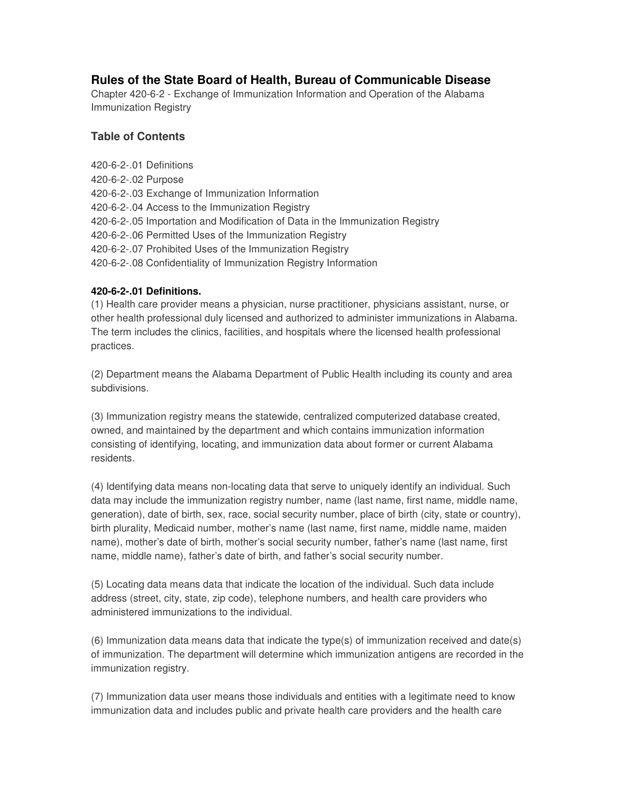# **Rules of the State Board of Health, Bureau of Communicable Disease**

Chapter 420-6-2 - Exchange of Immunization Information and Operation of the Alabama Immunization Registry

## **Table of Contents**

420-6-2-.01 Definitions 420-6-2-.02 Purpose 420-6-2-.03 Exchange of Immunization Information 420-6-2-.04 Access to the Immunization Registry 420-6-2-.05 Importation and Modification of Data in the Immunization Registry 420-6-2-.06 Permitted Uses of the Immunization Registry 420-6-2-.07 Prohibited Uses of the Immunization Registry 420-6-2-.08 Confidentiality of Immunization Registry Information

### **420-6-2-.01 Definitions.**

(1) Health care provider means a physician, nurse practitioner, physicians assistant, nurse, or other health professional duly licensed and authorized to administer immunizations in Alabama. The term includes the clinics, facilities, and hospitals where the licensed health professional practices.

(2) Department means the Alabama Department of Public Health including its county and area subdivisions.

(3) Immunization registry means the statewide, centralized computerized database created, owned, and maintained by the department and which contains immunization information consisting of identifying, locating, and immunization data about former or current Alabama residents.

(4) Identifying data means non-locating data that serve to uniquely identify an individual. Such data may include the immunization registry number, name (last name, first name, middle name, generation), date of birth, sex, race, social security number, place of birth (city, state or country), birth plurality, Medicaid number, mother's name (last name, first name, middle name, maiden name), mother's date of birth, mother's social security number, father's name (last name, first name, middle name), father's date of birth, and father's social security number.

(5) Locating data means data that indicate the location of the individual. Such data include address (street, city, state, zip code), telephone numbers, and health care providers who administered immunizations to the individual.

(6) Immunization data means data that indicate the type(s) of immunization received and date(s) of immunization. The department will determine which immunization antigens are recorded in the immunization registry.

(7) Immunization data user means those individuals and entities with a legitimate need to know immunization data and includes public and private health care providers and the health care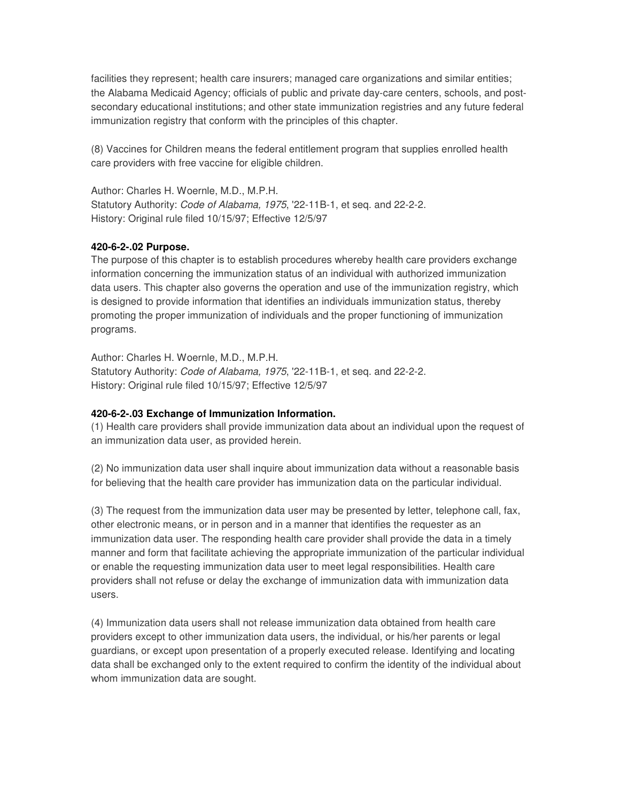facilities they represent; health care insurers; managed care organizations and similar entities; the Alabama Medicaid Agency; officials of public and private day-care centers, schools, and postsecondary educational institutions; and other state immunization registries and any future federal immunization registry that conform with the principles of this chapter.

(8) Vaccines for Children means the federal entitlement program that supplies enrolled health care providers with free vaccine for eligible children.

Author: Charles H. Woernle, M.D., M.P.H. Statutory Authority: *Code of Alabama, 1975*, '22-11B-1, et seq. and 22-2-2. History: Original rule filed 10/15/97; Effective 12/5/97

#### **420-6-2-.02 Purpose.**

The purpose of this chapter is to establish procedures whereby health care providers exchange information concerning the immunization status of an individual with authorized immunization data users. This chapter also governs the operation and use of the immunization registry, which is designed to provide information that identifies an individuals immunization status, thereby promoting the proper immunization of individuals and the proper functioning of immunization programs.

Author: Charles H. Woernle, M.D., M.P.H. Statutory Authority: *Code of Alabama, 1975*, '22-11B-1, et seq. and 22-2-2. History: Original rule filed 10/15/97; Effective 12/5/97

#### **420-6-2-.03 Exchange of Immunization Information.**

(1) Health care providers shall provide immunization data about an individual upon the request of an immunization data user, as provided herein.

(2) No immunization data user shall inquire about immunization data without a reasonable basis for believing that the health care provider has immunization data on the particular individual.

(3) The request from the immunization data user may be presented by letter, telephone call, fax, other electronic means, or in person and in a manner that identifies the requester as an immunization data user. The responding health care provider shall provide the data in a timely manner and form that facilitate achieving the appropriate immunization of the particular individual or enable the requesting immunization data user to meet legal responsibilities. Health care providers shall not refuse or delay the exchange of immunization data with immunization data users.

(4) Immunization data users shall not release immunization data obtained from health care providers except to other immunization data users, the individual, or his/her parents or legal guardians, or except upon presentation of a properly executed release. Identifying and locating data shall be exchanged only to the extent required to confirm the identity of the individual about whom immunization data are sought.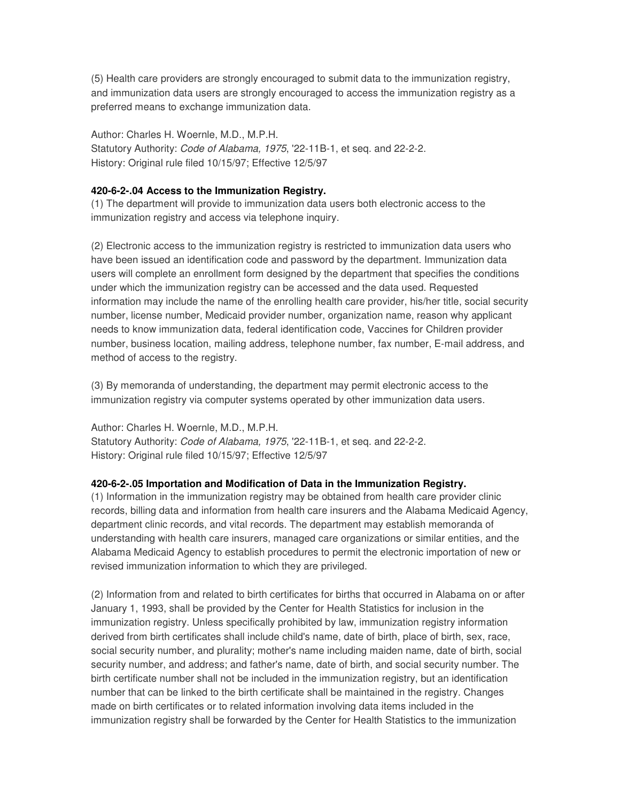(5) Health care providers are strongly encouraged to submit data to the immunization registry, and immunization data users are strongly encouraged to access the immunization registry as a preferred means to exchange immunization data.

Author: Charles H. Woernle, M.D., M.P.H. Statutory Authority: *Code of Alabama, 1975*, '22-11B-1, et seq. and 22-2-2. History: Original rule filed 10/15/97; Effective 12/5/97

#### **420-6-2-.04 Access to the Immunization Registry.**

(1) The department will provide to immunization data users both electronic access to the immunization registry and access via telephone inquiry.

(2) Electronic access to the immunization registry is restricted to immunization data users who have been issued an identification code and password by the department. Immunization data users will complete an enrollment form designed by the department that specifies the conditions under which the immunization registry can be accessed and the data used. Requested information may include the name of the enrolling health care provider, his/her title, social security number, license number, Medicaid provider number, organization name, reason why applicant needs to know immunization data, federal identification code, Vaccines for Children provider number, business location, mailing address, telephone number, fax number, E-mail address, and method of access to the registry.

(3) By memoranda of understanding, the department may permit electronic access to the immunization registry via computer systems operated by other immunization data users.

Author: Charles H. Woernle, M.D., M.P.H. Statutory Authority: *Code of Alabama, 1975*, '22-11B-1, et seq. and 22-2-2. History: Original rule filed 10/15/97; Effective 12/5/97

#### **420-6-2-.05 Importation and Modification of Data in the Immunization Registry.**

(1) Information in the immunization registry may be obtained from health care provider clinic records, billing data and information from health care insurers and the Alabama Medicaid Agency, department clinic records, and vital records. The department may establish memoranda of understanding with health care insurers, managed care organizations or similar entities, and the Alabama Medicaid Agency to establish procedures to permit the electronic importation of new or revised immunization information to which they are privileged.

(2) Information from and related to birth certificates for births that occurred in Alabama on or after January 1, 1993, shall be provided by the Center for Health Statistics for inclusion in the immunization registry. Unless specifically prohibited by law, immunization registry information derived from birth certificates shall include child's name, date of birth, place of birth, sex, race, social security number, and plurality; mother's name including maiden name, date of birth, social security number, and address; and father's name, date of birth, and social security number. The birth certificate number shall not be included in the immunization registry, but an identification number that can be linked to the birth certificate shall be maintained in the registry. Changes made on birth certificates or to related information involving data items included in the immunization registry shall be forwarded by the Center for Health Statistics to the immunization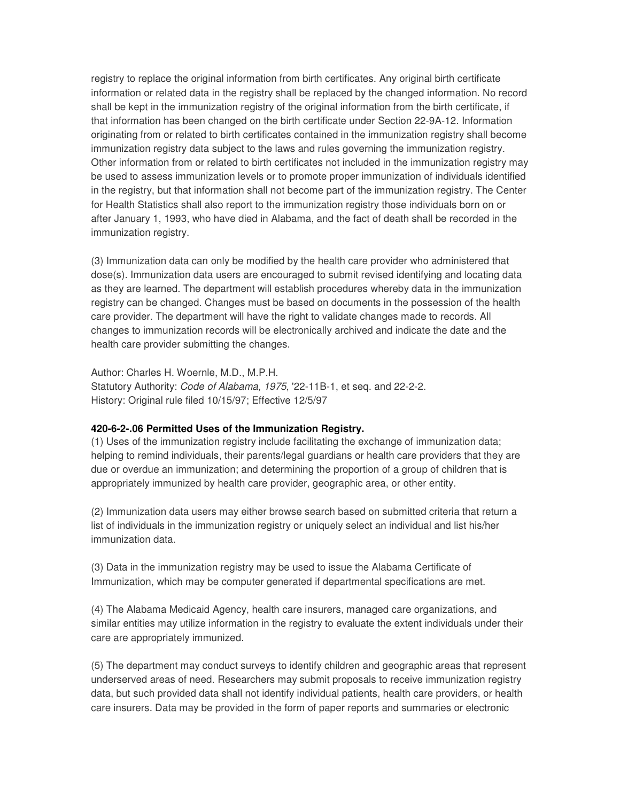registry to replace the original information from birth certificates. Any original birth certificate information or related data in the registry shall be replaced by the changed information. No record shall be kept in the immunization registry of the original information from the birth certificate, if that information has been changed on the birth certificate under Section 22-9A-12. Information originating from or related to birth certificates contained in the immunization registry shall become immunization registry data subject to the laws and rules governing the immunization registry. Other information from or related to birth certificates not included in the immunization registry may be used to assess immunization levels or to promote proper immunization of individuals identified in the registry, but that information shall not become part of the immunization registry. The Center for Health Statistics shall also report to the immunization registry those individuals born on or after January 1, 1993, who have died in Alabama, and the fact of death shall be recorded in the immunization registry.

(3) Immunization data can only be modified by the health care provider who administered that dose(s). Immunization data users are encouraged to submit revised identifying and locating data as they are learned. The department will establish procedures whereby data in the immunization registry can be changed. Changes must be based on documents in the possession of the health care provider. The department will have the right to validate changes made to records. All changes to immunization records will be electronically archived and indicate the date and the health care provider submitting the changes.

Author: Charles H. Woernle, M.D., M.P.H. Statutory Authority: *Code of Alabama, 1975*, '22-11B-1, et seq. and 22-2-2. History: Original rule filed 10/15/97; Effective 12/5/97

#### **420-6-2-.06 Permitted Uses of the Immunization Registry.**

(1) Uses of the immunization registry include facilitating the exchange of immunization data; helping to remind individuals, their parents/legal guardians or health care providers that they are due or overdue an immunization; and determining the proportion of a group of children that is appropriately immunized by health care provider, geographic area, or other entity.

(2) Immunization data users may either browse search based on submitted criteria that return a list of individuals in the immunization registry or uniquely select an individual and list his/her immunization data.

(3) Data in the immunization registry may be used to issue the Alabama Certificate of Immunization, which may be computer generated if departmental specifications are met.

(4) The Alabama Medicaid Agency, health care insurers, managed care organizations, and similar entities may utilize information in the registry to evaluate the extent individuals under their care are appropriately immunized.

(5) The department may conduct surveys to identify children and geographic areas that represent underserved areas of need. Researchers may submit proposals to receive immunization registry data, but such provided data shall not identify individual patients, health care providers, or health care insurers. Data may be provided in the form of paper reports and summaries or electronic